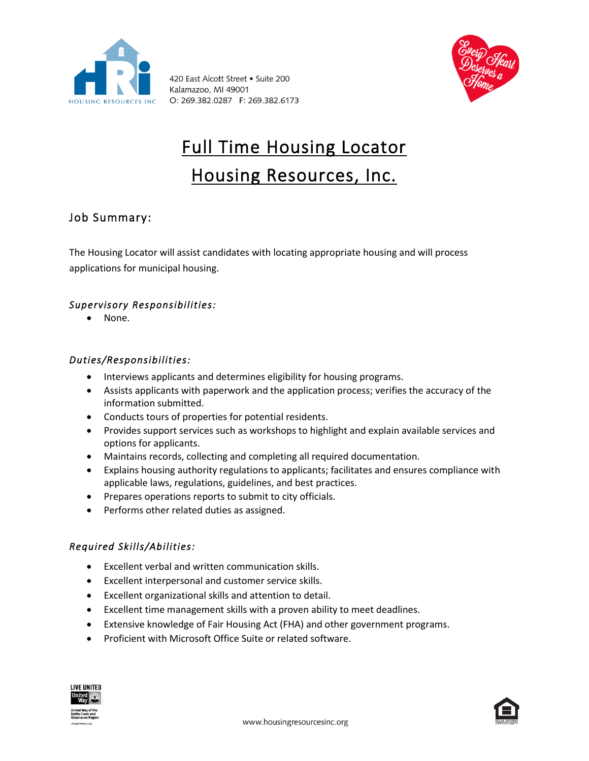

420 East Alcott Street . Suite 200 Kalamazoo, MI 49001 O: 269.382.0287 F: 269.382.6173



# Full Time Housing Locator Housing Resources, Inc.

# Job Summary:

The Housing Locator will assist candidates with locating appropriate housing and will process applications for municipal housing.

# *Supervisory Responsibilities:*

• None.

#### *Duties/Responsibilities:*

- Interviews applicants and determines eligibility for housing programs.
- Assists applicants with paperwork and the application process; verifies the accuracy of the information submitted.
- Conducts tours of properties for potential residents.
- Provides support services such as workshops to highlight and explain available services and options for applicants.
- Maintains records, collecting and completing all required documentation.
- Explains housing authority regulations to applicants; facilitates and ensures compliance with applicable laws, regulations, guidelines, and best practices.
- Prepares operations reports to submit to city officials.
- Performs other related duties as assigned.

#### *Required Skills/Abilities:*

- Excellent verbal and written communication skills.
- Excellent interpersonal and customer service skills.
- Excellent organizational skills and attention to detail.
- Excellent time management skills with a proven ability to meet deadlines.
- Extensive knowledge of Fair Housing Act (FHA) and other government programs.
- Proficient with Microsoft Office Suite or related software.